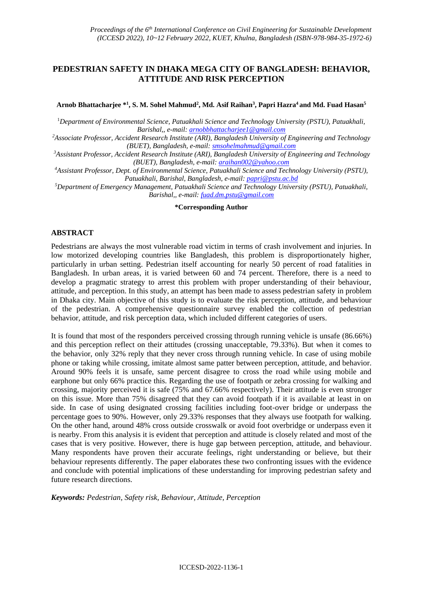# **PEDESTRIAN SAFETY IN DHAKA MEGA CITY OF BANGLADESH: BEHAVIOR, ATTITUDE AND RISK PERCEPTION**

**Arnob Bhattacharjee \* 1 , S. M. Sohel Mahmud<sup>2</sup> , Md. Asif Raihan<sup>3</sup> , Papri Hazra<sup>4</sup>and Md. Fuad Hasan<sup>5</sup>**

<sup>1</sup>*Department of Environmental Science, Patuakhali Science and Technology University (PSTU), Patuakhali, Barishal,, e-mail[: arnobbhattacharjee1@gmail.com](mailto:arnobbhattacharjee1@gmail.com)*

*<sup>2</sup>Associate Professor, Accident Research Institute (ARI), Bangladesh University of Engineering and Technology (BUET), Bangladesh, e-mail: [smsohelmahmud@gmail.com](mailto:smsohelmahmud@gmail.com)*

*<sup>3</sup>Assistant Professor, Accident Research Institute (ARI), Bangladesh University of Engineering and Technology (BUET), Bangladesh, e-mail: [araihan002@yahoo.com](mailto:araihan002@yahoo.com)*

*<sup>4</sup>Assistant Professor, Dept. of Environmental Science, Patuakhali Science and Technology University (PSTU), Patuakhali, Barishal, Bangladesh, e-mail[: papri@pstu.ac.bd](mailto:papri@pstu.ac.bd)*

*<sup>5</sup>Department of Emergency Management, Patuakhali Science and Technology University (PSTU), Patuakhali, Barishal,, e-mail: [fuad.dm.pstu@gmail.com](mailto:fuad.dm.pstu@gmail.com)*

#### **\*Corresponding Author**

## **ABSTRACT**

Pedestrians are always the most vulnerable road victim in terms of crash involvement and injuries. In low motorized developing countries like Bangladesh, this problem is disproportionately higher, particularly in urban setting. Pedestrian itself accounting for nearly 50 percent of road fatalities in Bangladesh. In urban areas, it is varied between 60 and 74 percent. Therefore, there is a need to develop a pragmatic strategy to arrest this problem with proper understanding of their behaviour, attitude, and perception. In this study, an attempt has been made to assess pedestrian safety in problem in Dhaka city. Main objective of this study is to evaluate the risk perception, attitude, and behaviour of the pedestrian. A comprehensive questionnaire survey enabled the collection of pedestrian behavior, attitude, and risk perception data, which included different categories of users.

It is found that most of the responders perceived crossing through running vehicle is unsafe (86.66%) and this perception reflect on their attitudes (crossing unacceptable, 79.33%). But when it comes to the behavior, only 32% reply that they never cross through running vehicle. In case of using mobile phone or taking while crossing, imitate almost same patter between perception, attitude, and behavior. Around 90% feels it is unsafe, same percent disagree to cross the road while using mobile and earphone but only 66% practice this. Regarding the use of footpath or zebra crossing for walking and crossing, majority perceived it is safe (75% and 67.66% respectively). Their attitude is even stronger on this issue. More than 75% disagreed that they can avoid footpath if it is available at least in on side. In case of using designated crossing facilities including foot-over bridge or underpass the percentage goes to 90%. However, only 29.33% responses that they always use footpath for walking. On the other hand, around 48% cross outside crosswalk or avoid foot overbridge or underpass even it is nearby. From this analysis it is evident that perception and attitude is closely related and most of the cases that is very positive. However, there is huge gap between perception, attitude, and behaviour. Many respondents have proven their accurate feelings, right understanding or believe, but their behaviour represents differently. The paper elaborates these two confronting issues with the evidence and conclude with potential implications of these understanding for improving pedestrian safety and future research directions.

*Keywords: Pedestrian, Safety risk, Behaviour, Attitude, Perception*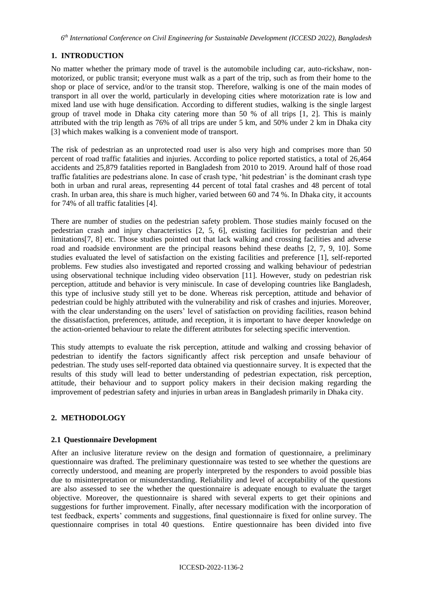*6 th International Conference on Civil Engineering for Sustainable Development (ICCESD 2022), Bangladesh*

# **1. INTRODUCTION**

No matter whether the primary mode of travel is the automobile including car, auto-rickshaw, nonmotorized, or public transit; everyone must walk as a part of the trip, such as from their home to the shop or place of service, and/or to the transit stop. Therefore, walking is one of the main modes of transport in all over the world, particularly in developing cities where motorization rate is low and mixed land use with huge densification. According to different studies, walking is the single largest group of travel mode in Dhaka city catering more than 50 % of all trips [1, 2]. This is mainly attributed with the trip length as 76% of all trips are under 5 km, and 50% under 2 km in Dhaka city [3] which makes walking is a convenient mode of transport.

The risk of pedestrian as an unprotected road user is also very high and comprises more than 50 percent of road traffic fatalities and injuries. According to police reported statistics, a total of 26,464 accidents and 25,879 fatalities reported in Bangladesh from 2010 to 2019. Around half of those road traffic fatalities are pedestrians alone. In case of crash type, 'hit pedestrian' is the dominant crash type both in urban and rural areas, representing 44 percent of total fatal crashes and 48 percent of total crash. In urban area, this share is much higher, varied between 60 and 74 %. In Dhaka city, it accounts for 74% of all traffic fatalities [4].

There are number of studies on the pedestrian safety problem. Those studies mainly focused on the pedestrian crash and injury characteristics [2, 5, 6], existing facilities for pedestrian and their limitations[7, 8] etc. Those studies pointed out that lack walking and crossing facilities and adverse road and roadside environment are the principal reasons behind these deaths [2, 7, 9, 10]. Some studies evaluated the level of satisfaction on the existing facilities and preference [1], self-reported problems. Few studies also investigated and reported crossing and walking behaviour of pedestrian using observational technique including video observation [11]. However, study on pedestrian risk perception, attitude and behavior is very miniscule. In case of developing countries like Bangladesh, this type of inclusive study still yet to be done. Whereas risk perception, attitude and behavior of pedestrian could be highly attributed with the vulnerability and risk of crashes and injuries. Moreover, with the clear understanding on the users' level of satisfaction on providing facilities, reason behind the dissatisfaction, preferences, attitude, and reception, it is important to have deeper knowledge on the action-oriented behaviour to relate the different attributes for selecting specific intervention.

This study attempts to evaluate the risk perception, attitude and walking and crossing behavior of pedestrian to identify the factors significantly affect risk perception and unsafe behaviour of pedestrian. The study uses self-reported data obtained via questionnaire survey. It is expected that the results of this study will lead to better understanding of pedestrian expectation, risk perception, attitude, their behaviour and to support policy makers in their decision making regarding the improvement of pedestrian safety and injuries in urban areas in Bangladesh primarily in Dhaka city.

# **2. METHODOLOGY**

## **2.1 Questionnaire Development**

After an inclusive literature review on the design and formation of questionnaire, a preliminary questionnaire was drafted. The preliminary questionnaire was tested to see whether the questions are correctly understood, and meaning are properly interpreted by the responders to avoid possible bias due to misinterpretation or misunderstanding. Reliability and level of acceptability of the questions are also assessed to see the whether the questionnaire is adequate enough to evaluate the target objective. Moreover, the questionnaire is shared with several experts to get their opinions and suggestions for further improvement. Finally, after necessary modification with the incorporation of test feedback, experts' comments and suggestions, final questionnaire is fixed for online survey. The questionnaire comprises in total 40 questions. Entire questionnaire has been divided into five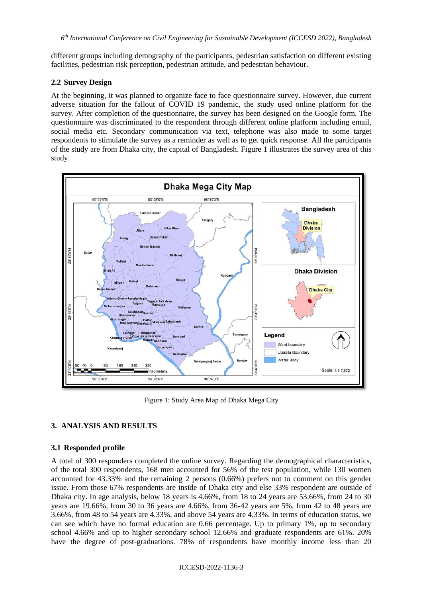different groups including demography of the participants, pedestrian satisfaction on different existing facilities, pedestrian risk perception, pedestrian attitude, and pedestrian behaviour.

## **2.2 Survey Design**

At the beginning, it was planned to organize face to face questionnaire survey. However, due current adverse situation for the fallout of COVID 19 pandemic, the study used online platform for the survey. After completion of the questionnaire, the survey has been designed on the Google form. The questionnaire was discriminated to the respondent through different online platform including email, social media etc. Secondary communication via text, telephone was also made to some target respondents to stimulate the survey as a reminder as well as to get quick response. All the participants of the study are from Dhaka city, the capital of Bangladesh. Figure 1 illustrates the survey area of this study.



Figure 1: Study Area Map of Dhaka Mega City

## **3. ANALYSIS AND RESULTS**

## **3.1 Responded profile**

A total of 300 responders completed the online survey. Regarding the demographical characteristics, of the total 300 respondents, 168 men accounted for 56% of the test population, while 130 women accounted for 43.33% and the remaining 2 persons (0.66%) prefers not to comment on this gender issue. From those 67% respondents are inside of Dhaka city and else 33% respondent are outside of Dhaka city. In age analysis, below 18 years is 4.66%, from 18 to 24 years are 53.66%, from 24 to 30 years are 19.66%, from 30 to 36 years are 4.66%, from 36-42 years are 5%, from 42 to 48 years are 3.66%, from 48 to 54 years are 4.33%, and above 54 years are 4.33%. In terms of education status, we can see which have no formal education are 0.66 percentage. Up to primary 1%, up to secondary school 4.66% and up to higher secondary school 12.66% and graduate respondents are 61%. 20% have the degree of post-graduations. 78% of respondents have monthly income less than 20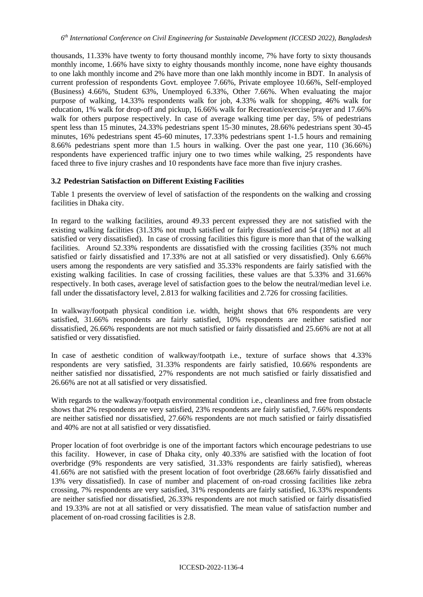thousands, 11.33% have twenty to forty thousand monthly income, 7% have forty to sixty thousands monthly income, 1.66% have sixty to eighty thousands monthly income, none have eighty thousands to one lakh monthly income and 2% have more than one lakh monthly income in BDT. In analysis of current profession of respondents Govt. employee 7.66%, Private employee 10.66%, Self-employed (Business) 4.66%, Student 63%, Unemployed 6.33%, Other 7.66%. When evaluating the major purpose of walking, 14.33% respondents walk for job, 4.33% walk for shopping, 46% walk for education, 1% walk for drop-off and pickup, 16.66% walk for Recreation/exercise/prayer and 17.66% walk for others purpose respectively. In case of average walking time per day, 5% of pedestrians spent less than 15 minutes, 24.33% pedestrians spent 15-30 minutes, 28.66% pedestrians spent 30-45 minutes, 16% pedestrians spent 45-60 minutes, 17.33% pedestrians spent 1-1.5 hours and remaining 8.66% pedestrians spent more than 1.5 hours in walking. Over the past one year, 110 (36.66%) respondents have experienced traffic injury one to two times while walking, 25 respondents have faced three to five injury crashes and 10 respondents have face more than five injury crashes.

## **3.2 Pedestrian Satisfaction on Different Existing Facilities**

Table 1 presents the overview of level of satisfaction of the respondents on the walking and crossing facilities in Dhaka city.

In regard to the walking facilities, around 49.33 percent expressed they are not satisfied with the existing walking facilities (31.33% not much satisfied or fairly dissatisfied and 54 (18%) not at all satisfied or very dissatisfied). In case of crossing facilities this figure is more than that of the walking facilities. Around 52.33% respondents are dissatisfied with the crossing facilities (35% not much satisfied or fairly dissatisfied and 17.33% are not at all satisfied or very dissatisfied). Only 6.66% users among the respondents are very satisfied and 35.33% respondents are fairly satisfied with the existing walking facilities. In case of crossing facilities, these values are that 5.33% and 31.66% respectively. In both cases, average level of satisfaction goes to the below the neutral/median level i.e. fall under the dissatisfactory level, 2.813 for walking facilities and 2.726 for crossing facilities.

In walkway/footpath physical condition i.e. width, height shows that 6% respondents are very satisfied, 31.66% respondents are fairly satisfied, 10% respondents are neither satisfied nor dissatisfied, 26.66% respondents are not much satisfied or fairly dissatisfied and 25.66% are not at all satisfied or very dissatisfied.

In case of aesthetic condition of walkway/footpath i.e., texture of surface shows that 4.33% respondents are very satisfied, 31.33% respondents are fairly satisfied, 10.66% respondents are neither satisfied nor dissatisfied, 27% respondents are not much satisfied or fairly dissatisfied and 26.66% are not at all satisfied or very dissatisfied.

With regards to the walkway/footpath environmental condition i.e., cleanliness and free from obstacle shows that 2% respondents are very satisfied, 23% respondents are fairly satisfied, 7.66% respondents are neither satisfied nor dissatisfied, 27.66% respondents are not much satisfied or fairly dissatisfied and 40% are not at all satisfied or very dissatisfied.

Proper location of foot overbridge is one of the important factors which encourage pedestrians to use this facility. However, in case of Dhaka city, only 40.33% are satisfied with the location of foot overbridge (9% respondents are very satisfied, 31.33% respondents are fairly satisfied), whereas 41.66% are not satisfied with the present location of foot overbridge (28.66% fairly dissatisfied and 13% very dissatisfied). In case of number and placement of on-road crossing facilities like zebra crossing, 7% respondents are very satisfied, 31% respondents are fairly satisfied, 16.33% respondents are neither satisfied nor dissatisfied, 26.33% respondents are not much satisfied or fairly dissatisfied and 19.33% are not at all satisfied or very dissatisfied. The mean value of satisfaction number and placement of on-road crossing facilities is 2.8.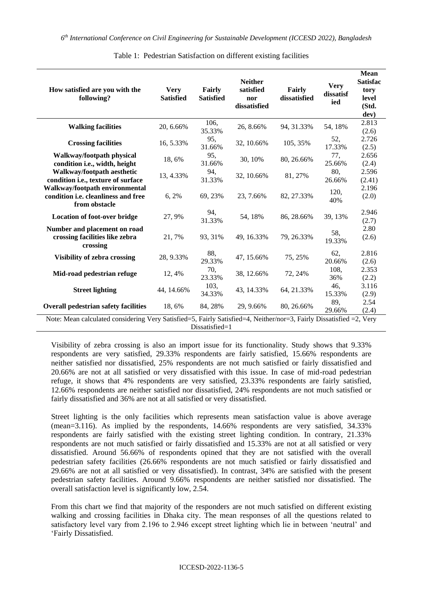| How satisfied are you with the<br>following?                                                                                          | <b>Very</b><br><b>Satisfied</b> | Fairly<br><b>Satisfied</b> | <b>Neither</b><br>satisfied<br>nor<br>dissatisfied | Fairly<br>dissatisfied | <b>Very</b><br>dissatisf<br>ied | <b>Mean</b><br><b>Satisfac</b><br>tory<br>level<br>(Std.<br>dev) |  |  |
|---------------------------------------------------------------------------------------------------------------------------------------|---------------------------------|----------------------------|----------------------------------------------------|------------------------|---------------------------------|------------------------------------------------------------------|--|--|
| <b>Walking facilities</b>                                                                                                             | 20, 6.66%                       | 106,<br>35.33%             | 26, 8.66%                                          | 94, 31.33%             | 54, 18%                         | 2.813<br>(2.6)                                                   |  |  |
| <b>Crossing facilities</b>                                                                                                            | 16, 5.33%                       | 95,<br>31.66%              | 32, 10.66%                                         | 105, 35%               | 52,<br>17.33%                   | 2.726<br>(2.5)                                                   |  |  |
| Walkway/footpath physical<br>condition i.e., width, height                                                                            | 18,6%                           | 95,<br>31.66%              | 30, 10%                                            | 80, 26.66%             | 77,<br>25.66%                   | 2.656<br>(2.4)                                                   |  |  |
| Walkway/footpath aesthetic<br>condition i.e., texture of surface                                                                      | 13, 4.33%                       | 94,<br>31.33%              | 32, 10.66%                                         | 81, 27%                | 80,<br>26.66%                   | 2.596<br>(2.41)                                                  |  |  |
| Walkway/footpath environmental<br>condition i.e. cleanliness and free<br>from obstacle                                                | 6, 2%                           | 69, 23%                    | 23, 7.66%                                          | 82, 27.33%             | 120,<br>40%                     | 2.196<br>(2.0)                                                   |  |  |
| <b>Location of foot-over bridge</b>                                                                                                   | 27, 9%                          | 94,<br>31.33%              | 54, 18%                                            | 86, 28.66%             | 39, 13%                         | 2.946<br>(2.7)                                                   |  |  |
| Number and placement on road<br>crossing facilities like zebra<br>crossing                                                            | 21,7%                           | 93, 31%                    | 49, 16.33%                                         | 79, 26.33%             | 58,<br>19.33%                   | 2.80<br>(2.6)                                                    |  |  |
| <b>Visibility of zebra crossing</b>                                                                                                   | 28, 9.33%                       | 88,<br>29.33%              | 47, 15.66%                                         | 75, 25%                | 62,<br>20.66%                   | 2.816<br>(2.6)                                                   |  |  |
| Mid-road pedestrian refuge                                                                                                            | 12, 4%                          | 70,<br>23.33%              | 38, 12.66%                                         | 72, 24%                | 108,<br>36%                     | 2.353<br>(2.2)                                                   |  |  |
| <b>Street lighting</b>                                                                                                                | 44, 14.66%                      | 103,<br>34.33%             | 43, 14.33%                                         | 64, 21.33%             | 46,<br>15.33%                   | 3.116<br>(2.9)                                                   |  |  |
| <b>Overall pedestrian safety facilities</b>                                                                                           | 18, 6%                          | 84, 28%                    | 29, 9.66%                                          | 80, 26.66%             | 89,<br>29.66%                   | 2.54<br>(2.4)                                                    |  |  |
| Note: Mean calculated considering Very Satisfied=5, Fairly Satisfied=4, Neither/nor=3, Fairly Dissatisfied =2, Very<br>Dissatisfied=1 |                                 |                            |                                                    |                        |                                 |                                                                  |  |  |

Table 1: Pedestrian Satisfaction on different existing facilities

Visibility of zebra crossing is also an import issue for its functionality. Study shows that 9.33% respondents are very satisfied, 29.33% respondents are fairly satisfied, 15.66% respondents are neither satisfied nor dissatisfied, 25% respondents are not much satisfied or fairly dissatisfied and

20.66% are not at all satisfied or very dissatisfied with this issue. In case of mid-road pedestrian refuge, it shows that 4% respondents are very satisfied, 23.33% respondents are fairly satisfied, 12.66% respondents are neither satisfied nor dissatisfied, 24% respondents are not much satisfied or fairly dissatisfied and 36% are not at all satisfied or very dissatisfied.

Street lighting is the only facilities which represents mean satisfaction value is above average (mean=3.116). As implied by the respondents, 14.66% respondents are very satisfied, 34.33% respondents are fairly satisfied with the existing street lighting condition. In contrary, 21.33% respondents are not much satisfied or fairly dissatisfied and 15.33% are not at all satisfied or very dissatisfied. Around 56.66% of respondents opined that they are not satisfied with the overall pedestrian safety facilities (26.66% respondents are not much satisfied or fairly dissatisfied and 29.66% are not at all satisfied or very dissatisfied). In contrast, 34% are satisfied with the present pedestrian safety facilities. Around 9.66% respondents are neither satisfied nor dissatisfied. The overall satisfaction level is significantly low, 2.54.

From this chart we find that majority of the responders are not much satisfied on different existing walking and crossing facilities in Dhaka city. The mean responses of all the questions related to satisfactory level vary from 2.196 to 2.946 except street lighting which lie in between 'neutral' and 'Fairly Dissatisfied.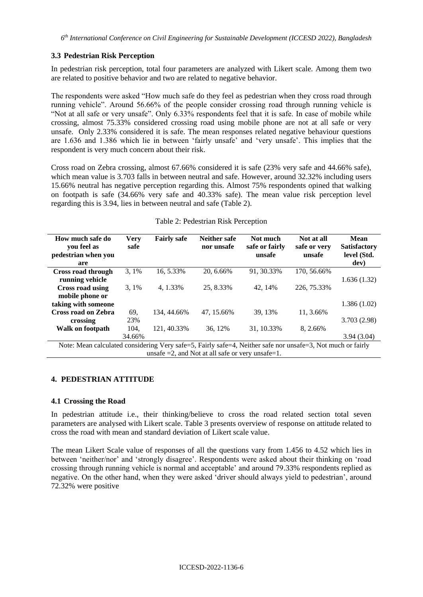## **3.3 Pedestrian Risk Perception**

In pedestrian risk perception, total four parameters are analyzed with Likert scale. Among them two are related to positive behavior and two are related to negative behavior.

The respondents were asked "How much safe do they feel as pedestrian when they cross road through running vehicle". Around 56.66% of the people consider crossing road through running vehicle is "Not at all safe or very unsafe". Only 6.33% respondents feel that it is safe. In case of mobile while crossing, almost 75.33% considered crossing road using mobile phone are not at all safe or very unsafe. Only 2.33% considered it is safe. The mean responses related negative behaviour questions are 1.636 and 1.386 which lie in between 'fairly unsafe' and 'very unsafe'. This implies that the respondent is very much concern about their risk.

Cross road on Zebra crossing, almost 67.66% considered it is safe (23% very safe and 44.66% safe), which mean value is 3.703 falls in between neutral and safe. However, around 32.32% including users 15.66% neutral has negative perception regarding this. Almost 75% respondents opined that walking on footpath is safe (34.66% very safe and 40.33% safe). The mean value risk perception level regarding this is 3.94, lies in between neutral and safe (Table 2).

| How much safe do<br>vou feel as<br>pedestrian when you<br>are                                               | <b>Very</b><br>safe                                     | <b>Fairly safe</b> | <b>Neither safe</b><br>nor unsafe | Not much<br>safe or fairly<br>unsafe | Not at all<br>safe or very<br>unsafe | Mean<br><b>Satisfactory</b><br>level (Std.<br>dev) |  |  |
|-------------------------------------------------------------------------------------------------------------|---------------------------------------------------------|--------------------|-----------------------------------|--------------------------------------|--------------------------------------|----------------------------------------------------|--|--|
| <b>Cross road through</b>                                                                                   | $3,1\%$                                                 | 16, 5.33%          | 20, 6.66%                         | 91, 30.33%                           | 170, 56.66%                          |                                                    |  |  |
| running vehicle                                                                                             |                                                         |                    |                                   |                                      |                                      | 1.636(1.32)                                        |  |  |
| <b>Cross road using</b>                                                                                     | 3.1%                                                    | 4.1.33%            | 25, 8.33%                         | 42, 14%                              | 226, 75.33%                          |                                                    |  |  |
| mobile phone or                                                                                             |                                                         |                    |                                   |                                      |                                      |                                                    |  |  |
| taking with someone                                                                                         |                                                         |                    |                                   |                                      |                                      | 1.386(1.02)                                        |  |  |
| Cross road on Zebra                                                                                         | 69,                                                     | 134, 44.66%        | 47, 15.66%                        | 39, 13%                              | 11, 3.66%                            |                                                    |  |  |
| crossing                                                                                                    | 23%                                                     |                    |                                   |                                      |                                      | 3.703(2.98)                                        |  |  |
| Walk on footpath                                                                                            | 104.                                                    | 121, 40.33%        | 36, 12%                           | 31, 10.33%                           | 8, 2.66%                             |                                                    |  |  |
|                                                                                                             | 34.66%                                                  |                    |                                   |                                      |                                      | 3.94(3.04)                                         |  |  |
| Note: Mean calculated considering Very safe=5, Fairly safe=4, Neither safe nor unsafe=3, Not much or fairly |                                                         |                    |                                   |                                      |                                      |                                                    |  |  |
|                                                                                                             | unsafe $=2$ , and Not at all safe or very unsafe $=1$ . |                    |                                   |                                      |                                      |                                                    |  |  |

#### Table 2: Pedestrian Risk Perception

## **4. PEDESTRIAN ATTITUDE**

## **4.1 Crossing the Road**

In pedestrian attitude i.e., their thinking/believe to cross the road related section total seven parameters are analysed with Likert scale. Table 3 presents overview of response on attitude related to cross the road with mean and standard deviation of Likert scale value.

The mean Likert Scale value of responses of all the questions vary from 1.456 to 4.52 which lies in between 'neither/nor' and 'strongly disagree'. Respondents were asked about their thinking on 'road crossing through running vehicle is normal and acceptable' and around 79.33% respondents replied as negative. On the other hand, when they were asked 'driver should always yield to pedestrian', around 72.32% were positive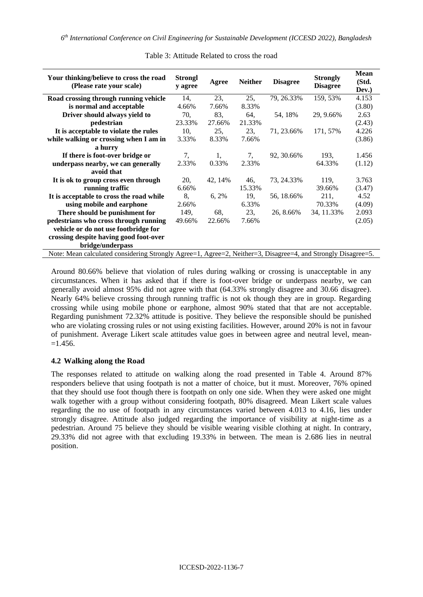| Your thinking/believe to cross the road<br>(Please rate your scale)                                          | <b>Strongl</b><br>y agree | Agree    | <b>Neither</b> | <b>Disagree</b> | <b>Strongly</b><br><b>Disagree</b> | <b>Mean</b><br>(Std.<br>Dev.) |  |
|--------------------------------------------------------------------------------------------------------------|---------------------------|----------|----------------|-----------------|------------------------------------|-------------------------------|--|
| Road crossing through running vehicle                                                                        | 14,                       | 23,      | 25,            | 79, 26.33%      | 159, 53%                           | 4.153                         |  |
| is normal and acceptable                                                                                     | 4.66%                     | 7.66%    | 8.33%          |                 |                                    | (3.80)                        |  |
| Driver should always yield to                                                                                | 70,                       | 83,      | 64.            | 54, 18%         | 29, 9.66%                          | 2.63                          |  |
| pedestrian                                                                                                   | 23.33%                    | 27.66%   | 21.33%         |                 |                                    | (2.43)                        |  |
| It is acceptable to violate the rules                                                                        | 10.                       | 25,      | 23.            | 71, 23.66%      | 171, 57%                           | 4.226                         |  |
| while walking or crossing when I am in                                                                       | 3.33%                     | 8.33%    | 7.66%          |                 |                                    | (3.86)                        |  |
| a hurry                                                                                                      |                           |          |                |                 |                                    |                               |  |
| If there is foot-over bridge or                                                                              | 7,                        | 1,       | 7,             | 92, 30.66%      | 193,                               | 1.456                         |  |
| underpass nearby, we can generally                                                                           | 2.33%                     | 0.33%    | 2.33%          |                 | 64.33%                             | (1.12)                        |  |
| avoid that                                                                                                   |                           |          |                |                 |                                    |                               |  |
| It is ok to group cross even through                                                                         | 20,                       | 42, 14%  | 46.            | 73, 24.33%      | 119.                               | 3.763                         |  |
| running traffic                                                                                              | 6.66%                     |          | 15.33%         |                 | 39.66%                             | (3.47)                        |  |
| It is acceptable to cross the road while                                                                     | 8.                        | $6, 2\%$ | 19,            | 56, 18.66%      | 211,                               | 4.52                          |  |
| using mobile and earphone                                                                                    | 2.66%                     |          | 6.33%          |                 | 70.33%                             | (4.09)                        |  |
| There should be punishment for                                                                               | 149,                      | 68,      | 23,            | 26, 8.66%       | 34, 11.33%                         | 2.093                         |  |
| pedestrians who cross through running                                                                        | 49.66%                    | 22.66%   | 7.66%          |                 |                                    | (2.05)                        |  |
| vehicle or do not use footbridge for                                                                         |                           |          |                |                 |                                    |                               |  |
| crossing despite having good foot-over                                                                       |                           |          |                |                 |                                    |                               |  |
| bridge/underpass                                                                                             |                           |          |                |                 |                                    |                               |  |
| Note: Mean calculated considering Strongly Agree=1, Agree=2, Neither=3, Disagree=4, and Strongly Disagree=5. |                           |          |                |                 |                                    |                               |  |

Table 3: Attitude Related to cross the road

Around 80.66% believe that violation of rules during walking or crossing is unacceptable in any circumstances. When it has asked that if there is foot-over bridge or underpass nearby, we can generally avoid almost 95% did not agree with that (64.33% strongly disagree and 30.66 disagree). Nearly 64% believe crossing through running traffic is not ok though they are in group. Regarding crossing while using mobile phone or earphone, almost 90% stated that that are not acceptable. Regarding punishment 72.32% attitude is positive. They believe the responsible should be punished who are violating crossing rules or not using existing facilities. However, around 20% is not in favour of punishment. Average Likert scale attitudes value goes in between agree and neutral level, mean-  $=1.456.$ 

## **4.2 Walking along the Road**

The responses related to attitude on walking along the road presented in Table 4. Around 87% responders believe that using footpath is not a matter of choice, but it must. Moreover, 76% opined that they should use foot though there is footpath on only one side. When they were asked one might walk together with a group without considering footpath, 80% disagreed. Mean Likert scale values regarding the no use of footpath in any circumstances varied between 4.013 to 4.16, lies under strongly disagree. Attitude also judged regarding the importance of visibility at night-time as a pedestrian. Around 75 believe they should be visible wearing visible clothing at night. In contrary, 29.33% did not agree with that excluding 19.33% in between. The mean is 2.686 lies in neutral position.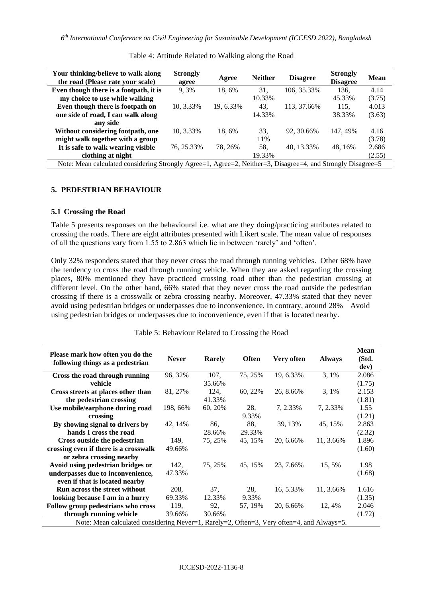| Your thinking/believe to walk along<br>the road (Please rate your scale)                                    | <b>Strongly</b><br>agree | Agree     | <b>Neither</b> | <b>Disagree</b> | <b>Strongly</b><br><b>Disagree</b> | <b>Mean</b> |  |
|-------------------------------------------------------------------------------------------------------------|--------------------------|-----------|----------------|-----------------|------------------------------------|-------------|--|
| Even though there is a footpath, it is                                                                      | 9.3%                     | 18.6%     | 31.            | 106, 35.33%     | 136.                               | 4.14        |  |
| my choice to use while walking                                                                              |                          |           | 10.33%         |                 | 45.33%                             | (3.75)      |  |
| Even though there is footpath on                                                                            | 10, 3.33%                | 19, 6.33% | 43.            | 113, 37.66%     | 115.                               | 4.013       |  |
| one side of road, I can walk along                                                                          |                          |           | 14.33%         |                 | 38.33%                             | (3.63)      |  |
| any side                                                                                                    |                          |           |                |                 |                                    |             |  |
| Without considering footpath, one                                                                           | 10, 3.33%                | 18.6%     | 33.            | 92, 30.66%      | 147, 49%                           | 4.16        |  |
| might walk together with a group                                                                            |                          |           | 11%            |                 |                                    | (3.78)      |  |
| It is safe to walk wearing visible                                                                          | 76, 25.33%               | 78, 26%   | 58.            | 40, 13.33%      | 48, 16%                            | 2.686       |  |
| clothing at night                                                                                           |                          |           | 19.33%         |                 |                                    | (2.55)      |  |
| Note: Mean calculated considering Strongly Agree=1, Agree=2, Neither=3, Disagree=4, and Strongly Disagree=5 |                          |           |                |                 |                                    |             |  |

Table 4: Attitude Related to Walking along the Road

#### **5. PEDESTRIAN BEHAVIOUR**

#### **5.1 Crossing the Road**

Table 5 presents responses on the behavioural i.e. what are they doing/practicing attributes related to crossing the roads. There are eight attributes presented with Likert scale. The mean value of responses of all the questions vary from 1.55 to 2.863 which lie in between 'rarely' and 'often'.

Only 32% responders stated that they never cross the road through running vehicles. Other 68% have the tendency to cross the road through running vehicle. When they are asked regarding the crossing places, 80% mentioned they have practiced crossing road other than the pedestrian crossing at different level. On the other hand, 66% stated that they never cross the road outside the pedestrian crossing if there is a crosswalk or zebra crossing nearby. Moreover, 47.33% stated that they never avoid using pedestrian bridges or underpasses due to inconvenience. In contrary, around 28% Avoid using pedestrian bridges or underpasses due to inconvenience, even if that is located nearby.

| Please mark how often you do the<br>following things as a pedestrian                      | <b>Never</b> | <b>Rarely</b> | <b>Often</b> | Very often | <b>Always</b> | <b>Mean</b><br>(Std. |
|-------------------------------------------------------------------------------------------|--------------|---------------|--------------|------------|---------------|----------------------|
|                                                                                           |              |               |              |            |               | dev)                 |
| Cross the road through running                                                            | 96, 32%      | 107,          | 75, 25%      | 19, 6.33%  | 3,1%          | 2.086                |
| vehicle                                                                                   |              | 35.66%        |              |            |               | (1.75)               |
| Cross streets at places other than                                                        | 81, 27%      | 124,          | 60, 22%      | 26, 8.66%  | 3, 1%         | 2.153                |
| the pedestrian crossing                                                                   |              | 41.33%        |              |            |               | (1.81)               |
| Use mobile/earphone during road                                                           | 198, 66%     | 60, 20%       | 28,          | 7, 2.33%   | 7, 2.33%      | 1.55                 |
| crossing                                                                                  |              |               | 9.33%        |            |               | (1.21)               |
| By showing signal to drivers by                                                           | 42, 14%      | 86,           | 88.          | 39, 13%    | 45, 15%       | 2.863                |
| hands I cross the road                                                                    |              | 28.66%        | 29.33%       |            |               | (2.32)               |
| Cross outside the pedestrian                                                              | 149.         | 75, 25%       | 45, 15%      | 20, 6.66%  | 11, 3.66%     | 1.896                |
| crossing even if there is a crosswalk                                                     | 49.66%       |               |              |            |               | (1.60)               |
| or zebra crossing nearby                                                                  |              |               |              |            |               |                      |
| Avoid using pedestrian bridges or                                                         | 142,         | 75, 25%       | 45, 15%      | 23, 7.66%  | 15, 5%        | 1.98                 |
| underpasses due to inconvenience,                                                         | 47.33%       |               |              |            |               | (1.68)               |
| even if that is located nearby                                                            |              |               |              |            |               |                      |
| <b>Run across the street without</b>                                                      | 208,         | 37,           | 28,          | 16, 5.33%  | 11, 3.66%     | 1.616                |
| looking because I am in a hurry                                                           | 69.33%       | 12.33%        | 9.33%        |            |               | (1.35)               |
| Follow group pedestrians who cross                                                        | 119,         | 92,           | 57, 19%      | 20, 6.66%  | 12, 4%        | 2.046                |
| through running vehicle                                                                   | 39.66%       | 30.66%        |              |            |               | (1.72)               |
| Note: Mean calculated considering Never=1, Rarely=2, Often=3, Very often=4, and Always=5. |              |               |              |            |               |                      |

Table 5: Behaviour Related to Crossing the Road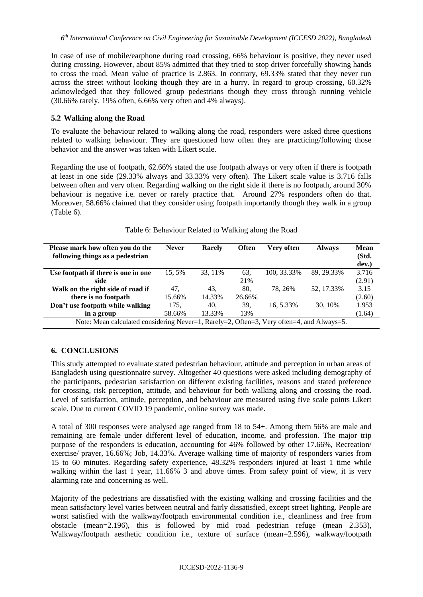In case of use of mobile/earphone during road crossing, 66% behaviour is positive, they never used during crossing. However, about 85% admitted that they tried to stop driver forcefully showing hands to cross the road. Mean value of practice is 2.863. In contrary, 69.33% stated that they never run across the street without looking though they are in a hurry. In regard to group crossing, 60.32% acknowledged that they followed group pedestrians though they cross through running vehicle (30.66% rarely, 19% often, 6.66% very often and 4% always).

## **5.2 Walking along the Road**

To evaluate the behaviour related to walking along the road, responders were asked three questions related to walking behaviour. They are questioned how often they are practicing/following those behavior and the answer was taken with Likert scale.

Regarding the use of footpath, 62.66% stated the use footpath always or very often if there is footpath at least in one side (29.33% always and 33.33% very often). The Likert scale value is 3.716 falls between often and very often. Regarding walking on the right side if there is no footpath, around 30% behaviour is negative i.e. never or rarely practice that. Around 27% responders often do that. Moreover, 58.66% claimed that they consider using footpath importantly though they walk in a group (Table 6).

| Please mark how often you do the                                                          | <b>Never</b> | Rarely | <b>Often</b> | Very often  | <b>Always</b> | <b>Mean</b> |  |
|-------------------------------------------------------------------------------------------|--------------|--------|--------------|-------------|---------------|-------------|--|
| following things as a pedestrian                                                          |              |        |              |             |               | (Std.       |  |
|                                                                                           |              |        |              |             |               | dev.)       |  |
| Use footpath if there is one in one                                                       | 15.5%        | 33.11% | 63,          | 100, 33.33% | 89.29.33%     | 3.716       |  |
| side                                                                                      |              |        | 21%          |             |               | (2.91)      |  |
| Walk on the right side of road if                                                         | 47.          | 43.    | 80.          | 78.26%      | 52, 17.33%    | 3.15        |  |
| there is no footpath                                                                      | 15.66%       | 14.33% | 26.66%       |             |               | (2.60)      |  |
| Don't use footpath while walking                                                          | 175.         | 40.    | 39.          | 16.5.33%    | 30.10%        | 1.953       |  |
| in a group                                                                                | 58.66%       | 13.33% | 13%          |             |               | (1.64)      |  |
| Note: Mean calculated considering Never=1, Rarely=2, Often=3, Very often=4, and Always=5. |              |        |              |             |               |             |  |

## Table 6: Behaviour Related to Walking along the Road

## **6. CONCLUSIONS**

This study attempted to evaluate stated pedestrian behaviour, attitude and perception in urban areas of Bangladesh using questionnaire survey. Altogether 40 questions were asked including demography of the participants, pedestrian satisfaction on different existing facilities, reasons and stated preference for crossing, risk perception, attitude, and behaviour for both walking along and crossing the road. Level of satisfaction, attitude, perception, and behaviour are measured using five scale points Likert scale. Due to current COVID 19 pandemic, online survey was made.

A total of 300 responses were analysed age ranged from 18 to 54+. Among them 56% are male and remaining are female under different level of education, income, and profession. The major trip purpose of the responders is education, accounting for 46% followed by other 17.66%, Recreation/ exercise/ prayer, 16.66%; Job, 14.33%. Average walking time of majority of responders varies from 15 to 60 minutes. Regarding safety experience, 48.32% responders injured at least 1 time while walking within the last 1 year, 11.66% 3 and above times. From safety point of view, it is very alarming rate and concerning as well.

Majority of the pedestrians are dissatisfied with the existing walking and crossing facilities and the mean satisfactory level varies between neutral and fairly dissatisfied, except street lighting. People are worst satisfied with the walkway/footpath environmental condition i.e., cleanliness and free from obstacle (mean=2.196), this is followed by mid road pedestrian refuge (mean 2.353), Walkway/footpath aesthetic condition i.e., texture of surface (mean=2.596), walkway/footpath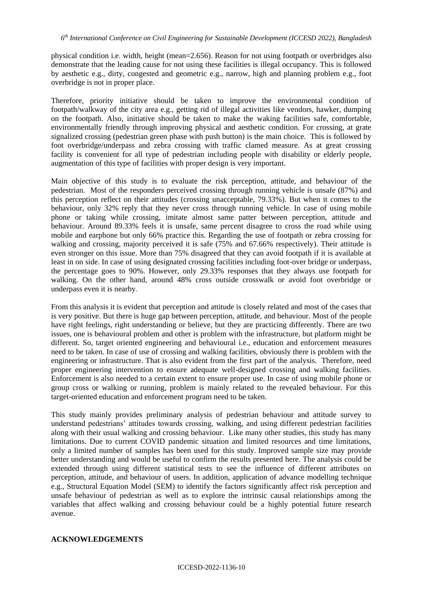physical condition i.e. width, height (mean=2.656). Reason for not using footpath or overbridges also demonstrate that the leading cause for not using these facilities is illegal occupancy. This is followed by aesthetic e.g., dirty, congested and geometric e.g., narrow, high and planning problem e.g., foot overbridge is not in proper place.

Therefore, priority initiative should be taken to improve the environmental condition of footpath/walkway of the city area e.g., getting rid of illegal activities like vendors, hawker, dumping on the footpath. Also, initiative should be taken to make the waking facilities safe, comfortable, environmentally friendly through improving physical and aesthetic condition. For crossing, at grate signalized crossing (pedestrian green phase with push button) is the main choice. This is followed by foot overbridge/underpass and zebra crossing with traffic clamed measure. As at great crossing facility is convenient for all type of pedestrian including people with disability or elderly people, augmentation of this type of facilities with proper design is very important.

Main objective of this study is to evaluate the risk perception, attitude, and behaviour of the pedestrian. Most of the responders perceived crossing through running vehicle is unsafe (87%) and this perception reflect on their attitudes (crossing unacceptable, 79.33%). But when it comes to the behaviour, only 32% reply that they never cross through running vehicle. In case of using mobile phone or taking while crossing, imitate almost same patter between perception, attitude and behaviour. Around 89.33% feels it is unsafe, same percent disagree to cross the road while using mobile and earphone but only 66% practice this. Regarding the use of footpath or zebra crossing for walking and crossing, majority perceived it is safe (75% and 67.66% respectively). Their attitude is even stronger on this issue. More than 75% disagreed that they can avoid footpath if it is available at least in on side. In case of using designated crossing facilities including foot-over bridge or underpass, the percentage goes to 90%. However, only 29.33% responses that they always use footpath for walking. On the other hand, around 48% cross outside crosswalk or avoid foot overbridge or underpass even it is nearby.

From this analysis it is evident that perception and attitude is closely related and most of the cases that is very positive. But there is huge gap between perception, attitude, and behaviour. Most of the people have right feelings, right understanding or believe, but they are practicing differently. There are two issues, one is behavioural problem and other is problem with the infrastructure, but platform might be different. So, target oriented engineering and behavioural i.e., education and enforcement measures need to be taken. In case of use of crossing and walking facilities, obviously there is problem with the engineering or infrastructure. That is also evident from the first part of the analysis. Therefore, need proper engineering intervention to ensure adequate well-designed crossing and walking facilities. Enforcement is also needed to a certain extent to ensure proper use. In case of using mobile phone or group cross or walking or running, problem is mainly related to the revealed behaviour. For this target-oriented education and enforcement program need to be taken.

This study mainly provides preliminary analysis of pedestrian behaviour and attitude survey to understand pedestrians' attitudes towards crossing, walking, and using different pedestrian facilities along with their usual walking and crossing behaviour. Like many other studies, this study has many limitations. Due to current COVID pandemic situation and limited resources and time limitations, only a limited number of samples has been used for this study. Improved sample size may provide better understanding and would be useful to confirm the results presented here. The analysis could be extended through using different statistical tests to see the influence of different attributes on perception, attitude, and behaviour of users. In addition, application of advance modelling technique e.g., Structural Equation Model (SEM) to identify the factors significantly affect risk perception and unsafe behaviour of pedestrian as well as to explore the intrinsic causal relationships among the variables that affect walking and crossing behaviour could be a highly potential future research avenue.

## **ACKNOWLEDGEMENTS**